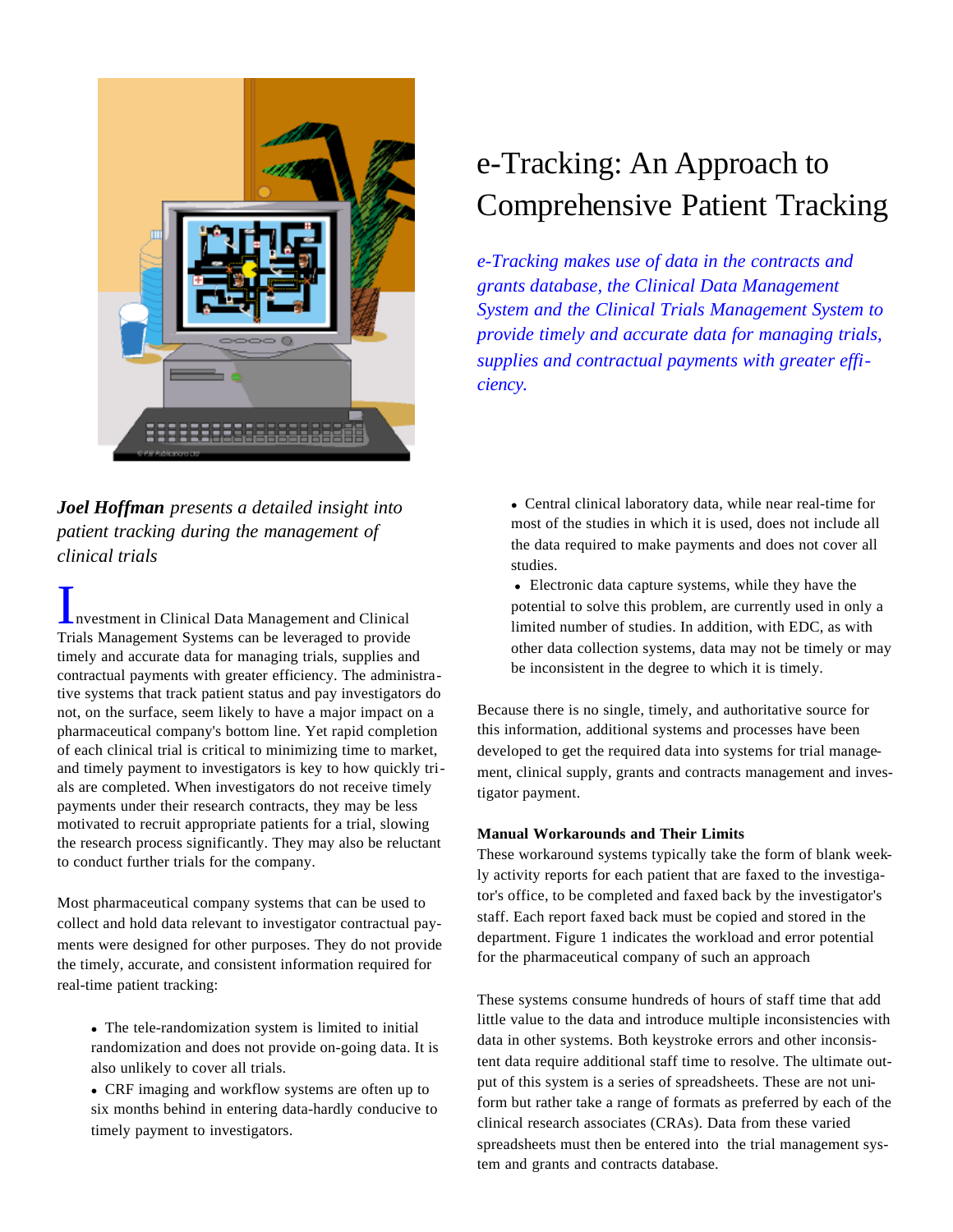

### *Joel Hoffman presents a detailed insight into patient tracking during the management of clinical trials*

**Investment in Clinical Data Management and Clinical** Trials Management Systems can be leveraged to provide timely and accurate data for managing trials, supplies and contractual payments with greater efficiency. The administrative systems that track patient status and pay investigators do not, on the surface, seem likely to have a major impact on a pharmaceutical company's bottom line. Yet rapid completion of each clinical trial is critical to minimizing time to market, and timely payment to investigators is key to how quickly trials are completed. When investigators do not receive timely payments under their research contracts, they may be less motivated to recruit appropriate patients for a trial, slowing the research process significantly. They may also be reluctant to conduct further trials for the company.

Most pharmaceutical company systems that can be used to collect and hold data relevant to investigator contractual payments were designed for other purposes. They do not provide the timely, accurate, and consistent information required for real-time patient tracking:

 $\bullet$  The tele-randomization system is limited to initial randomization and does not provide on-going data. It is also unlikely to cover all trials.

• CRF imaging and workflow systems are often up to six months behind in entering data-hardly conducive to timely payment to investigators.

# e-Tracking: An Approach to Comprehensive Patient Tracking

*e-Tracking makes use of data in the contracts and grants database, the Clinical Data Management System and the Clinical Trials Management System to provide timely and accurate data for managing trials, supplies and contractual payments with greater efficiency.*

• Central clinical laboratory data, while near real-time for most of the studies in which it is used, does not include all the data required to make payments and does not cover all studies.

• Electronic data capture systems, while they have the potential to solve this problem, are currently used in only a limited number of studies. In addition, with EDC, as with other data collection systems, data may not be timely or may be inconsistent in the degree to which it is timely.

Because there is no single, timely, and authoritative source for this information, additional systems and processes have been developed to get the required data into systems for trial management, clinical supply, grants and contracts management and investigator payment.

#### **Manual Workarounds and Their Limits**

These workaround systems typically take the form of blank weekly activity reports for each patient that are faxed to the investigator's office, to be completed and faxed back by the investigator's staff. Each report faxed back must be copied and stored in the department. Figure 1 indicates the workload and error potential for the pharmaceutical company of such an approach

These systems consume hundreds of hours of staff time that add little value to the data and introduce multiple inconsistencies with data in other systems. Both keystroke errors and other inconsistent data require additional staff time to resolve. The ultimate output of this system is a series of spreadsheets. These are not uniform but rather take a range of formats as preferred by each of the clinical research associates (CRAs). Data from these varied spreadsheets must then be entered into the trial management system and grants and contracts database.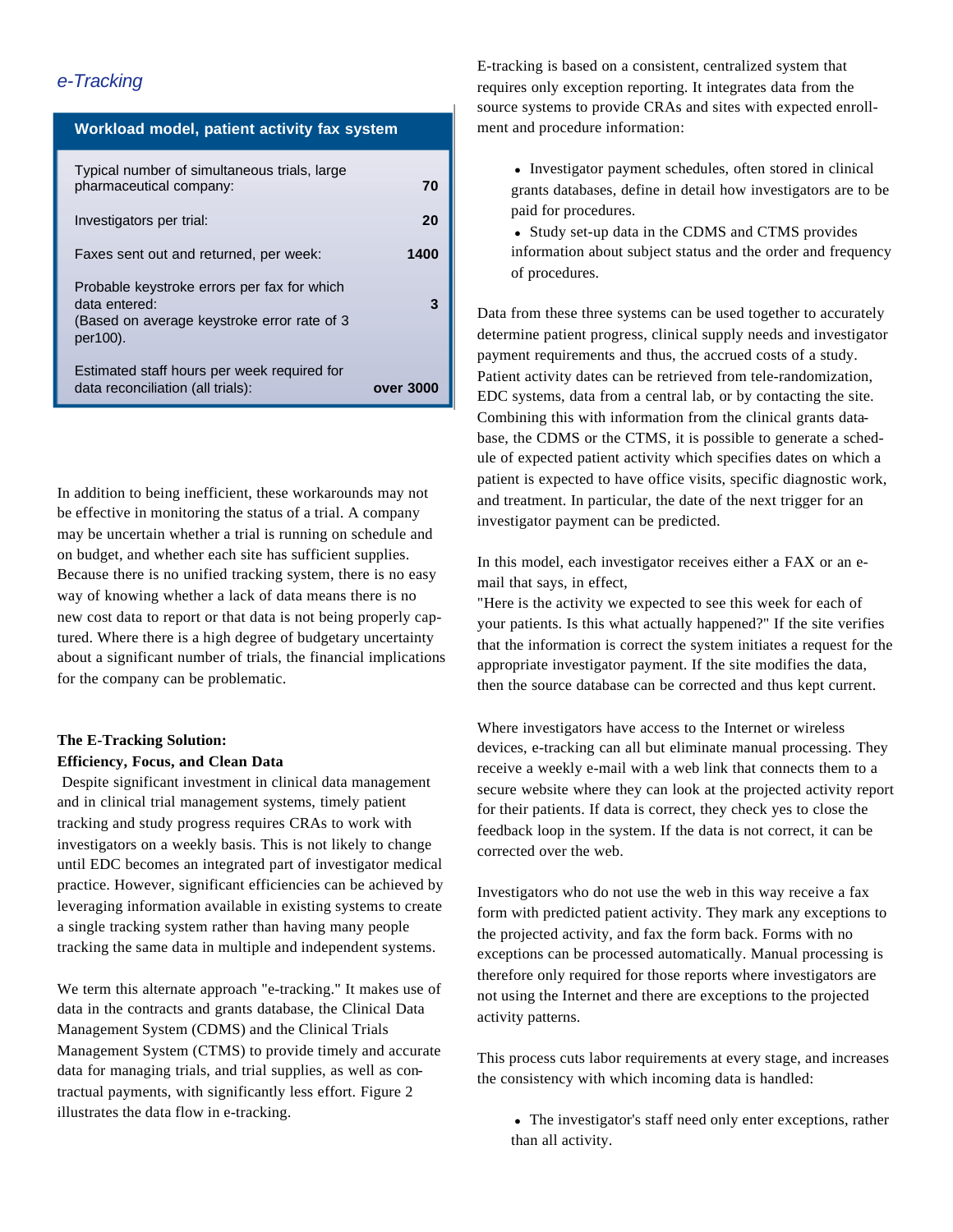#### *e-Tracking*

#### **Workload model, patient activity fax system**

| Typical number of simultaneous trials, large<br>pharmaceutical company:                                                 | 70        |
|-------------------------------------------------------------------------------------------------------------------------|-----------|
| Investigators per trial:                                                                                                | 20        |
| Faxes sent out and returned, per week:                                                                                  | 1400      |
| Probable keystroke errors per fax for which<br>data entered:<br>(Based on average keystroke error rate of 3<br>per100). | 3         |
| Estimated staff hours per week required for<br>data reconciliation (all trials):                                        | over 3000 |

In addition to being inefficient, these workarounds may not be effective in monitoring the status of a trial. A company may be uncertain whether a trial is running on schedule and on budget, and whether each site has sufficient supplies. Because there is no unified tracking system, there is no easy way of knowing whether a lack of data means there is no new cost data to report or that data is not being properly captured. Where there is a high degree of budgetary uncertainty about a significant number of trials, the financial implications for the company can be problematic.

#### **The E-Tracking Solution: Efficiency, Focus, and Clean Data**

Despite significant investment in clinical data management and in clinical trial management systems, timely patient tracking and study progress requires CRAs to work with investigators on a weekly basis. This is not likely to change until EDC becomes an integrated part of investigator medical practice. However, significant efficiencies can be achieved by leveraging information available in existing systems to create a single tracking system rather than having many people tracking the same data in multiple and independent systems.

We term this alternate approach "e-tracking." It makes use of data in the contracts and grants database, the Clinical Data Management System (CDMS) and the Clinical Trials Management System (CTMS) to provide timely and accurate data for managing trials, and trial supplies, as well as contractual payments, with significantly less effort. Figure 2 illustrates the data flow in e-tracking.

E-tracking is based on a consistent, centralized system that requires only exception reporting. It integrates data from the source systems to provide CRAs and sites with expected enrollment and procedure information:

• Investigator payment schedules, often stored in clinical grants databases, define in detail how investigators are to be paid for procedures.

• Study set-up data in the CDMS and CTMS provides information about subject status and the order and frequency of procedures.

Data from these three systems can be used together to accurately determine patient progress, clinical supply needs and investigator payment requirements and thus, the accrued costs of a study. Patient activity dates can be retrieved from tele-randomization, EDC systems, data from a central lab, or by contacting the site. Combining this with information from the clinical grants database, the CDMS or the CTMS, it is possible to generate a schedule of expected patient activity which specifies dates on which a patient is expected to have office visits, specific diagnostic work, and treatment. In particular, the date of the next trigger for an investigator payment can be predicted.

In this model, each investigator receives either a FAX or an email that says, in effect,

"Here is the activity we expected to see this week for each of your patients. Is this what actually happened?" If the site verifies that the information is correct the system initiates a request for the appropriate investigator payment. If the site modifies the data, then the source database can be corrected and thus kept current.

Where investigators have access to the Internet or wireless devices, e-tracking can all but eliminate manual processing. They receive a weekly e-mail with a web link that connects them to a secure website where they can look at the projected activity report for their patients. If data is correct, they check yes to close the feedback loop in the system. If the data is not correct, it can be corrected over the web.

Investigators who do not use the web in this way receive a fax form with predicted patient activity. They mark any exceptions to the projected activity, and fax the form back. Forms with no exceptions can be processed automatically. Manual processing is therefore only required for those reports where investigators are not using the Internet and there are exceptions to the projected activity patterns.

This process cuts labor requirements at every stage, and increases the consistency with which incoming data is handled:

• The investigator's staff need only enter exceptions, rather than all activity.